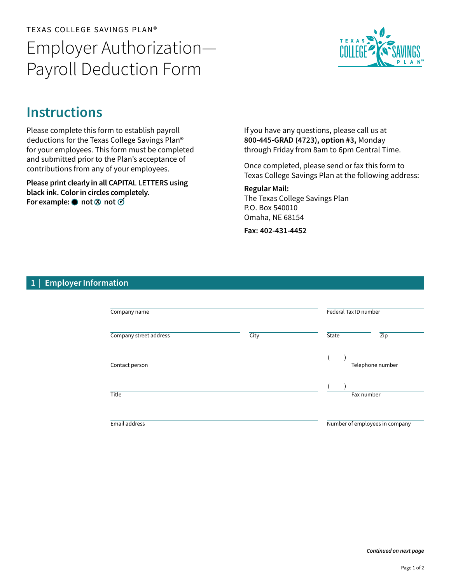## TEXAS COLLEGE SAVINGS PLAN® Employer Authorization— Payroll Deduction Form



## **Instructions**

Please complete this form to establish payroll deductions for the Texas College Savings Plan® for your employees. This form must be completed and submitted prior to the Plan's acceptance of contributions from any of your employees.

Please print clearly in all CAPITAL LETTERS using black ink. Color in circles completely. For example:  $\bullet$  not  $\otimes$  not  $\check{\circ}$ 

If you have any questions, please call us at 800-445-GRAD (4723), option #3, Monday through Friday from 8am to 6pm Central Time.

Once completed, please send or fax this form to Texas College Savings Plan at the following address:

Regular Mail: The Texas College Savings Plan P.O. Box 540010 Omaha, NE 68154

Fax: 402-431-4452

## 1 | Employer Information

| Company name           |      | Federal Tax ID number |                                |  |
|------------------------|------|-----------------------|--------------------------------|--|
| Company street address | City | State                 | Zip                            |  |
| Contact person         |      | Telephone number      |                                |  |
| Title                  |      |                       | Fax number                     |  |
| Email address          |      |                       | Number of employees in company |  |